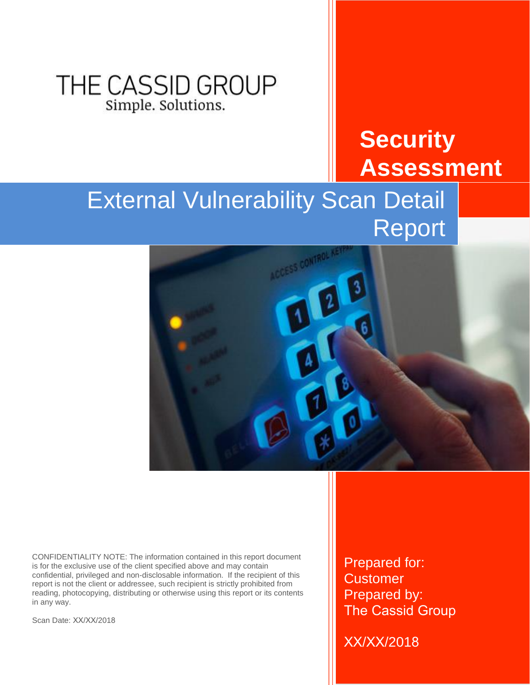## THE CASSID GROUP Simple. Solutions.

## **Security Assessment**

# External Vulnerability Scan Detail Report



CONFIDENTIALITY NOTE: The information contained in this report document is for the exclusive use of the client specified above and may contain confidential, privileged and non-disclosable information. If the recipient of this report is not the client or addressee, such recipient is strictly prohibited from reading, photocopying, distributing or otherwise using this report or its contents in any way.

Scan Date: XX/XX/2018

Prepared for: **Customer** Prepared by: The Cassid Group

XX/XX/2018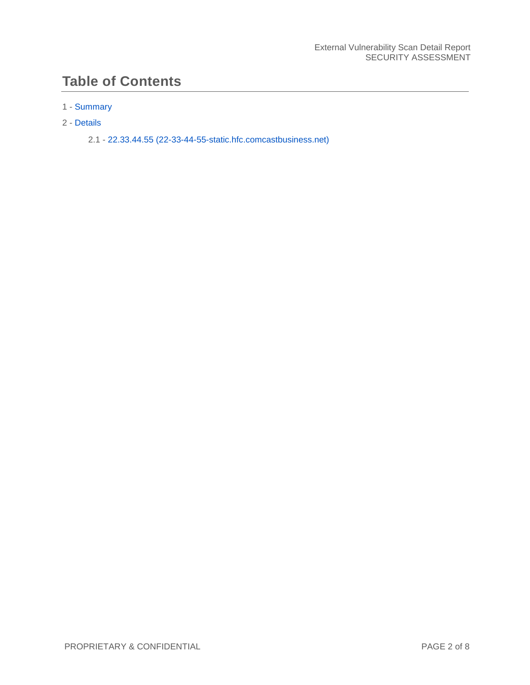### **Table of Contents**

#### 1 - [Summary](#page-2-0)

#### 2 - [Details](#page-4-0)

2.1 - [22.33.44.55 \(22-33-44-55-static.hfc.comcastbusiness.net\)](#page-5-0)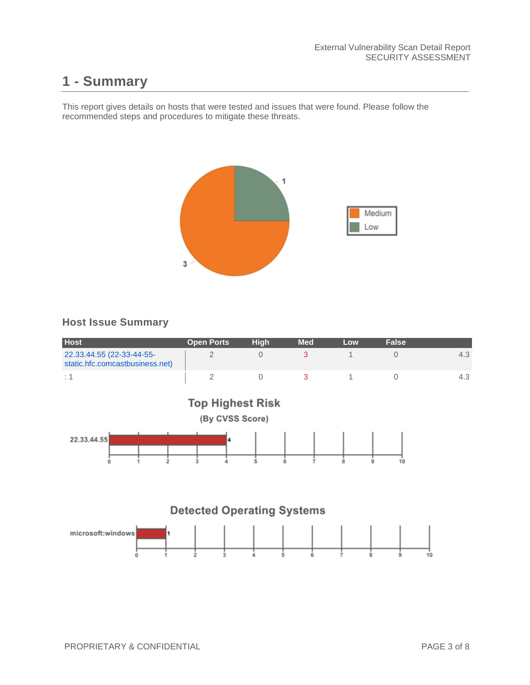### <span id="page-2-0"></span>**1 - Summary**

This report gives details on hosts that were tested and issues that were found. Please follow the recommended steps and procedures to mitigate these threats.



#### **Host Issue Summary**

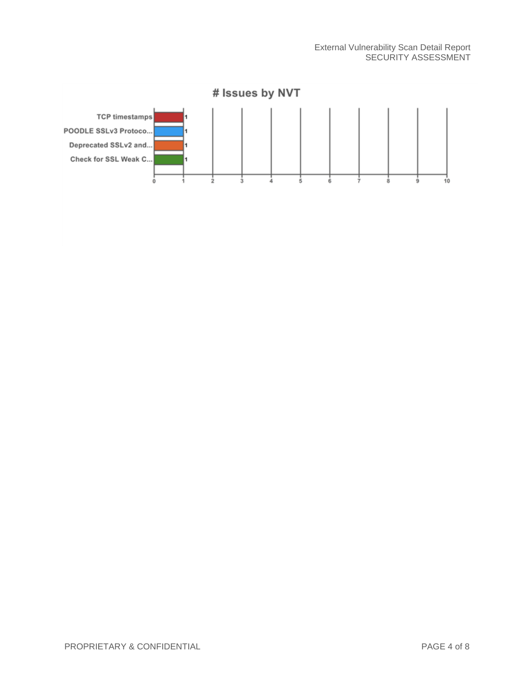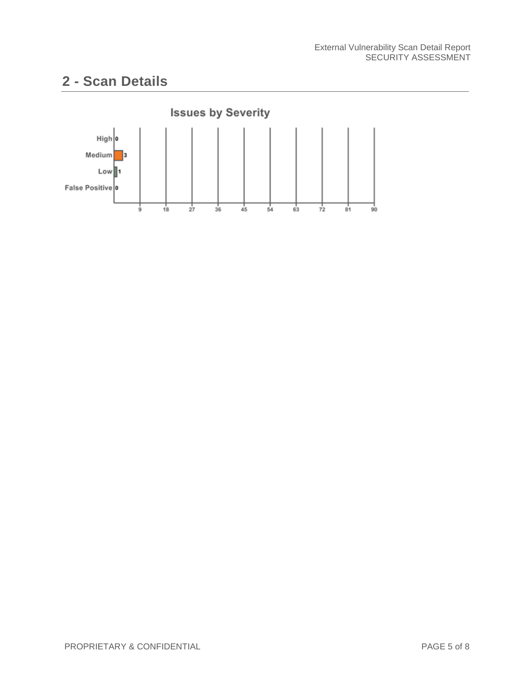### <span id="page-4-0"></span>**2 - Scan Details**

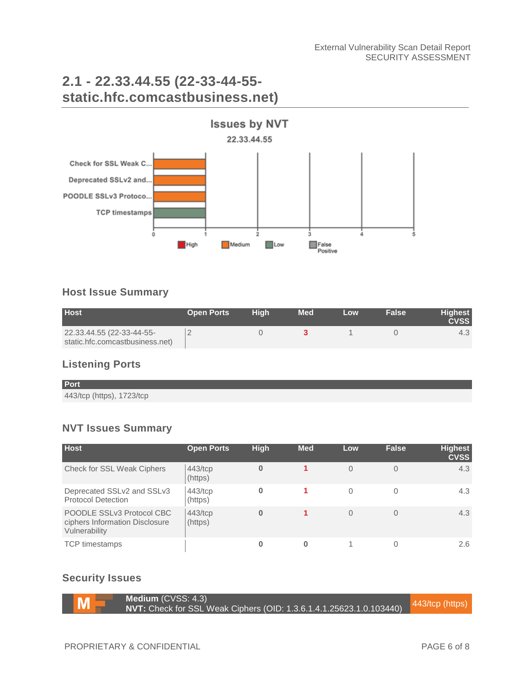### <span id="page-5-0"></span>**2.1 - 22.33.44.55 (22-33-44-55 static.hfc.comcastbusiness.net)**



#### **Host Issue Summary**

| <b>Host</b>                     | <b>Open Ports</b> | Hiah | <b>Med</b> | Low | <b>False</b> | <b>Highest</b><br><b>CVSS</b> |
|---------------------------------|-------------------|------|------------|-----|--------------|-------------------------------|
| 22.33.44.55 (22-33-44-55-       |                   |      |            |     |              | 4.5                           |
| static.hfc.comcastbusiness.net) |                   |      |            |     |              |                               |

### **Listening Ports**

**Port** 443/tcp (https), 1723/tcp

#### **NVT Issues Summary**

| <b>Host</b>                                                                  | <b>Open Ports</b>     | <b>High</b> | <b>Med</b> | Low      | <b>False</b> | <b>Highest</b><br><b>CVSS</b> |
|------------------------------------------------------------------------------|-----------------------|-------------|------------|----------|--------------|-------------------------------|
| Check for SSL Weak Ciphers                                                   | $443$ /tcp<br>(https) | $\bf{0}$    |            | $\Omega$ | $\Omega$     | 4.3                           |
| Deprecated SSLv2 and SSLv3<br><b>Protocol Detection</b>                      | 443/tcp<br>(https)    | 0           |            | 0        | 0            | 4.3                           |
| POODLE SSLv3 Protocol CBC<br>ciphers Information Disclosure<br>Vulnerability | 443/tcp<br>(https)    | $\bf{0}$    |            | $\Omega$ | $\Omega$     | 4.3                           |
| <b>TCP</b> timestamps                                                        |                       |             | 0          |          |              | $2.6^{\circ}$                 |

#### **Security Issues**



**Medium** (CVSS: 4.3) **NEGIUM (CVSS. 4.5)**<br>**NVT:** Check for SSL Weak Ciphers (OID: 1.3.6.1.4.1.25623.1.0.103440) 443/tcp (https)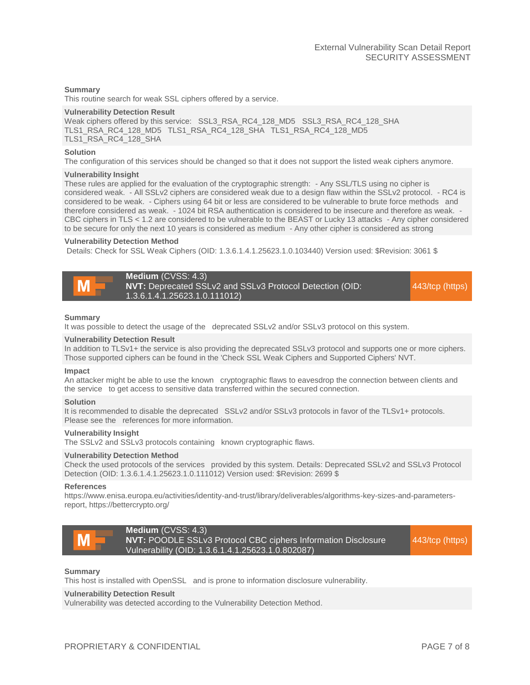#### **Summary**

This routine search for weak SSL ciphers offered by a service.

#### **Vulnerability Detection Result**

```
Weak ciphers offered by this service: SSL3_RSA_RC4_128_MD5 _SSL3_RSA_RC4_128_SHA
TLS1_RSA_RC4_128_MD5 TLS1_RSA_RC4_128_SHA TLS1_RSA_RC4_128_MD5 
TLS1_RSA_RC4_128_SHA
```
#### **Solution**

The configuration of this services should be changed so that it does not support the listed weak ciphers anymore.

#### **Vulnerability Insight**

These rules are applied for the evaluation of the cryptographic strength: - Any SSL/TLS using no cipher is considered weak. - All SSLv2 ciphers are considered weak due to a design flaw within the SSLv2 protocol. - RC4 is considered to be weak. - Ciphers using 64 bit or less are considered to be vulnerable to brute force methods and therefore considered as weak. - 1024 bit RSA authentication is considered to be insecure and therefore as weak. - CBC ciphers in TLS < 1.2 are considered to be vulnerable to the BEAST or Lucky 13 attacks - Any cipher considered to be secure for only the next 10 years is considered as medium - Any other cipher is considered as strong

#### **Vulnerability Detection Method**

Details: Check for SSL Weak Ciphers (OID: 1.3.6.1.4.1.25623.1.0.103440) Version used: \$Revision: 3061 \$

**Medium** (CVSS: 4.3) **NVT:** Deprecated SSLv2 and SSLv3 Protocol Detection (OID: 1.3.6.1.4.1.25623.1.0.111012)

443/tcp (https)

#### **Summary**

It was possible to detect the usage of the deprecated SSLv2 and/or SSLv3 protocol on this system.

#### **Vulnerability Detection Result**

In addition to TLSv1+ the service is also providing the deprecated SSLv3 protocol and supports one or more ciphers. Those supported ciphers can be found in the 'Check SSL Weak Ciphers and Supported Ciphers' NVT.

#### **Impact**

An attacker might be able to use the known cryptographic flaws to eavesdrop the connection between clients and the service to get access to sensitive data transferred within the secured connection.

#### **Solution**

It is recommended to disable the deprecated SSLv2 and/or SSLv3 protocols in favor of the TLSv1+ protocols. Please see the references for more information.

#### **Vulnerability Insight**

The SSLv2 and SSLv3 protocols containing known cryptographic flaws.

#### **Vulnerability Detection Method**

Check the used protocols of the services provided by this system. Details: Deprecated SSLv2 and SSLv3 Protocol Detection (OID: 1.3.6.1.4.1.25623.1.0.111012) Version used: \$Revision: 2699 \$

#### **References**

https://www.enisa.europa.eu/activities/identity-and-trust/library/deliverables/algorithms-key-sizes-and-parametersreport, https://bettercrypto.org/



#### **Summary**

This host is installed with OpenSSL and is prone to information disclosure vulnerability.

#### **Vulnerability Detection Result**

Vulnerability was detected according to the Vulnerability Detection Method.